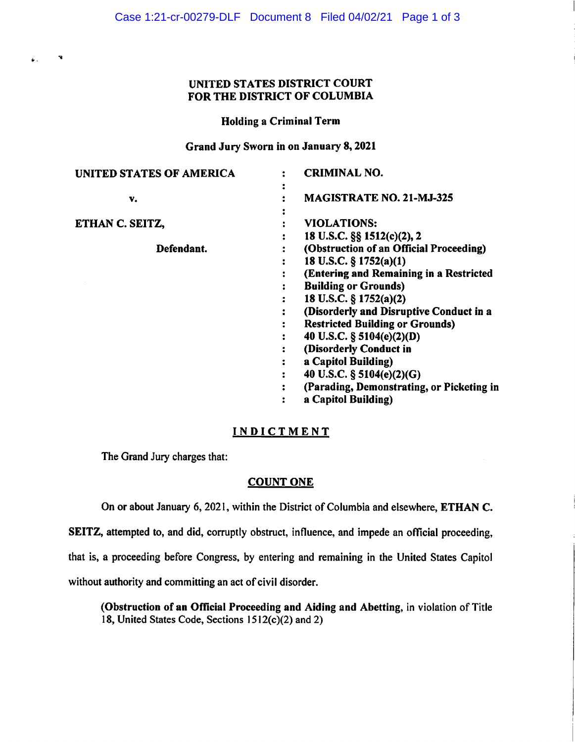## UNITED STATES DISTRICT COURT FOR THE DISTRICT OF COLUMBIA

### Holding a Criminal Term

## Grand Jury Sworn in on January 8, 2021

| <b>UNITED STATES OF AMERICA</b> | <b>CRIMINAL NO.</b>                       |
|---------------------------------|-------------------------------------------|
| v.                              | <b>MAGISTRATE NO. 21-MJ-325</b>           |
|                                 |                                           |
| ETHAN C. SEITZ,                 | VIOLATIONS:                               |
|                                 | 18 U.S.C. §§ 1512(c)(2), 2                |
| Defendant.                      | (Obstruction of an Official Proceeding)   |
|                                 | 18 U.S.C. § 1752(a)(1)                    |
|                                 | (Entering and Remaining in a Restricted   |
|                                 | <b>Building or Grounds)</b>               |
|                                 | 18 U.S.C. § 1752(a)(2)                    |
|                                 | (Disorderly and Disruptive Conduct in a   |
|                                 | <b>Restricted Building or Grounds)</b>    |
|                                 | 40 U.S.C. $\S$ 5104(e)(2)(D)              |
|                                 | (Disorderly Conduct in                    |
|                                 | a Capitol Building)                       |
|                                 | 40 U.S.C. § 5104(e)(2)(G)                 |
|                                 | (Parading, Demonstrating, or Picketing in |
|                                 | a Capitol Building)                       |

## **INDICTMENT**

The Grand Jury charges that:

 $\mathcal{L} = \mathcal{R}$ 

## **COUNT ONE**

On or about January 6, 202 l, within the District of Columbia and elsewhere, **ETHAN C.** 

**SEITZ,** attempted to, and did, corruptly obstruct, influence, and impede an official proceeding,

that is, a proceeding before Congress, by entering and remaining in the United States Capitol

without authority and committing an act of civil disorder.

**(Obstruction of an Official Proceeding and Aiding and Abetting,** in violation of Title 18, United States Code, Sections l512(c)(2) and 2)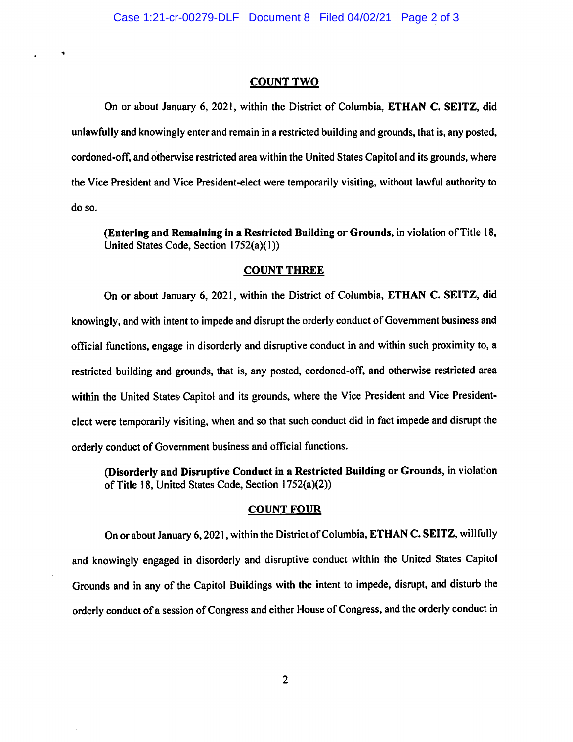#### **COUNT TWO**

..

 $\mathbf{r}$ 

On or about January 6, 2021, within the District of Columbia, **ETHAN C. SEITZ,** did unlawfully and knowingly enter and remain in a restricted building and grounds, that is, any posted, cordoned-off, and otherwise restricted area within the United States Capitol and its grounds, where the Vice President and Vice President-elect were temporarily visiting, without lawful authority to doso.

**(Entering and Remaining** in **a Restricted Building or Grounds,** in violation of Title 18, United States Code, Section 1752(a)(1))

### **COUNT THREE**

On or about January 6, 2021, within the District of Columbia, **ETHAN C. SEITZ,** did knowingly, and with intent to impede and disrupt the orderly conduct of Government business and official functions, engage in disorderly and disruptive conduct in and within such proximity to, a restricted building and grounds, that is, any posted, cordoned-off, and otherwise restricted area within the United States Capitol and its grounds, where the Vice President and Vice Presidentelect were temporarily visiting, when and so that such conduct did in fact impede and disrupt the orderly conduct of Government business and official functions.

**(Disorderly and Disruptive Conduct in a Restricted Building or Grounds,** in violation of Title 18, United States Code, Section I 752(a)(2))

#### **COUNT FOUR**

On or about January 6, 2021, within the District of Columbia, **ETHAN C. SEITZ,** willfully and knowingly engaged in disorderly and disruptive conduct within the United States Capitol Grounds and in any of the Capitol Buildings with the intent to impede, disrupt, and disturb the orderly conduct of a session of Congress and either House of Congress, and the orderly conduct in